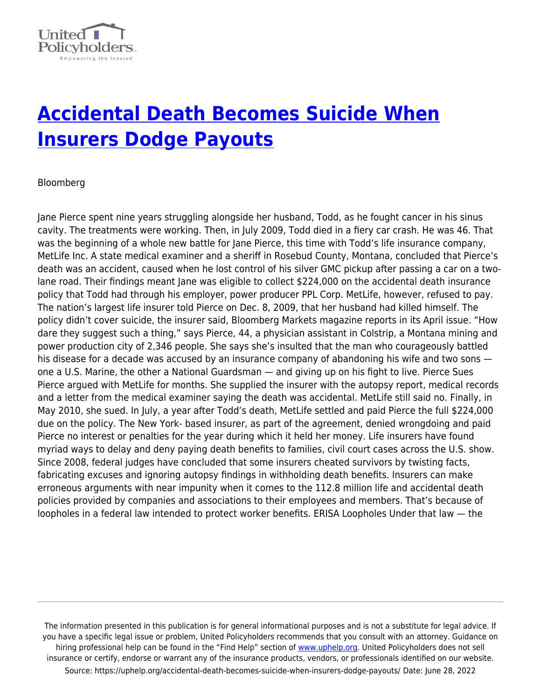

## **[Accidental Death Becomes Suicide When](https://uphelp.org/accidental-death-becomes-suicide-when-insurers-dodge-payouts/) [Insurers Dodge Payouts](https://uphelp.org/accidental-death-becomes-suicide-when-insurers-dodge-payouts/)**

## Bloomberg

Jane Pierce spent nine years struggling alongside her husband, Todd, as he fought cancer in his sinus cavity. The treatments were working. Then, in July 2009, Todd died in a fiery car crash. He was 46. That was the beginning of a whole new battle for Jane Pierce, this time with Todd's life insurance company, MetLife Inc. A state medical examiner and a sheriff in Rosebud County, Montana, concluded that Pierce's death was an accident, caused when he lost control of his silver GMC pickup after passing a car on a twolane road. Their findings meant Jane was eligible to collect \$224,000 on the accidental death insurance policy that Todd had through his employer, power producer PPL Corp. MetLife, however, refused to pay. The nation's largest life insurer told Pierce on Dec. 8, 2009, that her husband had killed himself. The policy didn't cover suicide, the insurer said, Bloomberg Markets magazine reports in its April issue. "How dare they suggest such a thing," says Pierce, 44, a physician assistant in Colstrip, a Montana mining and power production city of 2,346 people. She says she's insulted that the man who courageously battled his disease for a decade was accused by an insurance company of abandoning his wife and two sons one a U.S. Marine, the other a National Guardsman — and giving up on his fight to live. Pierce Sues Pierce argued with MetLife for months. She supplied the insurer with the autopsy report, medical records and a letter from the medical examiner saying the death was accidental. MetLife still said no. Finally, in May 2010, she sued. In July, a year after Todd's death, MetLife settled and paid Pierce the full \$224,000 due on the policy. The New York- based insurer, as part of the agreement, denied wrongdoing and paid Pierce no interest or penalties for the year during which it held her money. Life insurers have found myriad ways to delay and deny paying death benefits to families, civil court cases across the U.S. show. Since 2008, federal judges have concluded that some insurers cheated survivors by twisting facts, fabricating excuses and ignoring autopsy findings in withholding death benefits. Insurers can make erroneous arguments with near impunity when it comes to the 112.8 million life and accidental death policies provided by companies and associations to their employees and members. That's because of loopholes in a federal law intended to protect worker benefits. ERISA Loopholes Under that law — the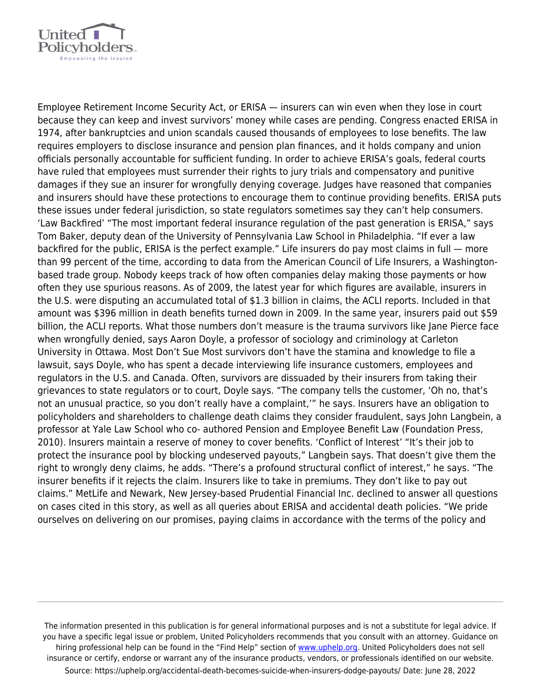

Employee Retirement Income Security Act, or ERISA — insurers can win even when they lose in court because they can keep and invest survivors' money while cases are pending. Congress enacted ERISA in 1974, after bankruptcies and union scandals caused thousands of employees to lose benefits. The law requires employers to disclose insurance and pension plan finances, and it holds company and union officials personally accountable for sufficient funding. In order to achieve ERISA's goals, federal courts have ruled that employees must surrender their rights to jury trials and compensatory and punitive damages if they sue an insurer for wrongfully denying coverage. Judges have reasoned that companies and insurers should have these protections to encourage them to continue providing benefits. ERISA puts these issues under federal jurisdiction, so state regulators sometimes say they can't help consumers. 'Law Backfired' "The most important federal insurance regulation of the past generation is ERISA," says Tom Baker, deputy dean of the University of Pennsylvania Law School in Philadelphia. "If ever a law backfired for the public, ERISA is the perfect example." Life insurers do pay most claims in full — more than 99 percent of the time, according to data from the American Council of Life Insurers, a Washingtonbased trade group. Nobody keeps track of how often companies delay making those payments or how often they use spurious reasons. As of 2009, the latest year for which figures are available, insurers in the U.S. were disputing an accumulated total of \$1.3 billion in claims, the ACLI reports. Included in that amount was \$396 million in death benefits turned down in 2009. In the same year, insurers paid out \$59 billion, the ACLI reports. What those numbers don't measure is the trauma survivors like Jane Pierce face when wrongfully denied, says Aaron Doyle, a professor of sociology and criminology at Carleton University in Ottawa. Most Don't Sue Most survivors don't have the stamina and knowledge to file a lawsuit, says Doyle, who has spent a decade interviewing life insurance customers, employees and regulators in the U.S. and Canada. Often, survivors are dissuaded by their insurers from taking their grievances to state regulators or to court, Doyle says. "The company tells the customer, 'Oh no, that's not an unusual practice, so you don't really have a complaint,'" he says. Insurers have an obligation to policyholders and shareholders to challenge death claims they consider fraudulent, says John Langbein, a professor at Yale Law School who co- authored Pension and Employee Benefit Law (Foundation Press, 2010). Insurers maintain a reserve of money to cover benefits. 'Conflict of Interest' "It's their job to protect the insurance pool by blocking undeserved payouts," Langbein says. That doesn't give them the right to wrongly deny claims, he adds. "There's a profound structural conflict of interest," he says. "The insurer benefits if it rejects the claim. Insurers like to take in premiums. They don't like to pay out claims." MetLife and Newark, New Jersey-based Prudential Financial Inc. declined to answer all questions on cases cited in this story, as well as all queries about ERISA and accidental death policies. "We pride ourselves on delivering on our promises, paying claims in accordance with the terms of the policy and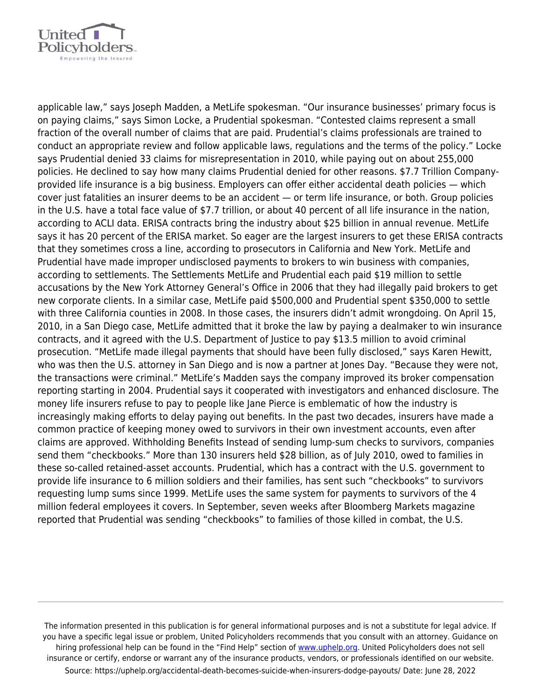

applicable law," says Joseph Madden, a MetLife spokesman. "Our insurance businesses' primary focus is on paying claims," says Simon Locke, a Prudential spokesman. "Contested claims represent a small fraction of the overall number of claims that are paid. Prudential's claims professionals are trained to conduct an appropriate review and follow applicable laws, regulations and the terms of the policy." Locke says Prudential denied 33 claims for misrepresentation in 2010, while paying out on about 255,000 policies. He declined to say how many claims Prudential denied for other reasons. \$7.7 Trillion Companyprovided life insurance is a big business. Employers can offer either accidental death policies — which cover just fatalities an insurer deems to be an accident — or term life insurance, or both. Group policies in the U.S. have a total face value of \$7.7 trillion, or about 40 percent of all life insurance in the nation, according to ACLI data. ERISA contracts bring the industry about \$25 billion in annual revenue. MetLife says it has 20 percent of the ERISA market. So eager are the largest insurers to get these ERISA contracts that they sometimes cross a line, according to prosecutors in California and New York. MetLife and Prudential have made improper undisclosed payments to brokers to win business with companies, according to settlements. The Settlements MetLife and Prudential each paid \$19 million to settle accusations by the New York Attorney General's Office in 2006 that they had illegally paid brokers to get new corporate clients. In a similar case, MetLife paid \$500,000 and Prudential spent \$350,000 to settle with three California counties in 2008. In those cases, the insurers didn't admit wrongdoing. On April 15, 2010, in a San Diego case, MetLife admitted that it broke the law by paying a dealmaker to win insurance contracts, and it agreed with the U.S. Department of Justice to pay \$13.5 million to avoid criminal prosecution. "MetLife made illegal payments that should have been fully disclosed," says Karen Hewitt, who was then the U.S. attorney in San Diego and is now a partner at Jones Day. "Because they were not, the transactions were criminal." MetLife's Madden says the company improved its broker compensation reporting starting in 2004. Prudential says it cooperated with investigators and enhanced disclosure. The money life insurers refuse to pay to people like Jane Pierce is emblematic of how the industry is increasingly making efforts to delay paying out benefits. In the past two decades, insurers have made a common practice of keeping money owed to survivors in their own investment accounts, even after claims are approved. Withholding Benefits Instead of sending lump-sum checks to survivors, companies send them "checkbooks." More than 130 insurers held \$28 billion, as of July 2010, owed to families in these so-called retained-asset accounts. Prudential, which has a contract with the U.S. government to provide life insurance to 6 million soldiers and their families, has sent such "checkbooks" to survivors requesting lump sums since 1999. MetLife uses the same system for payments to survivors of the 4 million federal employees it covers. In September, seven weeks after Bloomberg Markets magazine reported that Prudential was sending "checkbooks" to families of those killed in combat, the U.S.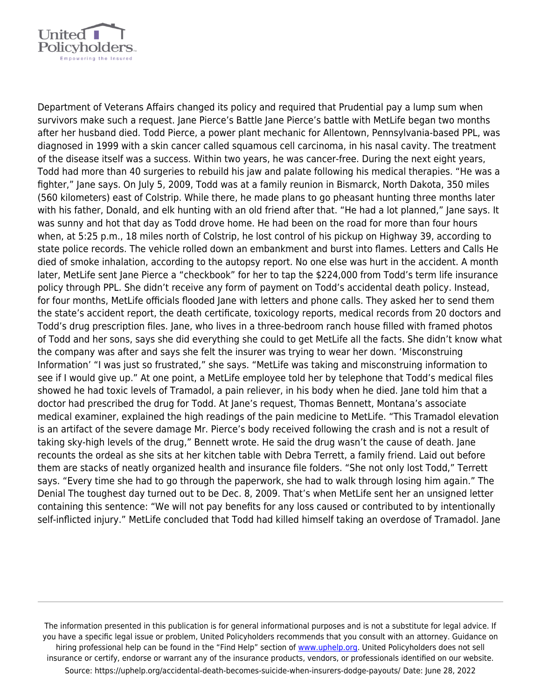

Department of Veterans Affairs changed its policy and required that Prudential pay a lump sum when survivors make such a request. Jane Pierce's Battle Jane Pierce's battle with MetLife began two months after her husband died. Todd Pierce, a power plant mechanic for Allentown, Pennsylvania-based PPL, was diagnosed in 1999 with a skin cancer called squamous cell carcinoma, in his nasal cavity. The treatment of the disease itself was a success. Within two years, he was cancer-free. During the next eight years, Todd had more than 40 surgeries to rebuild his jaw and palate following his medical therapies. "He was a fighter," Jane says. On July 5, 2009, Todd was at a family reunion in Bismarck, North Dakota, 350 miles (560 kilometers) east of Colstrip. While there, he made plans to go pheasant hunting three months later with his father, Donald, and elk hunting with an old friend after that. "He had a lot planned," Jane says. It was sunny and hot that day as Todd drove home. He had been on the road for more than four hours when, at 5:25 p.m., 18 miles north of Colstrip, he lost control of his pickup on Highway 39, according to state police records. The vehicle rolled down an embankment and burst into flames. Letters and Calls He died of smoke inhalation, according to the autopsy report. No one else was hurt in the accident. A month later, MetLife sent Jane Pierce a "checkbook" for her to tap the \$224,000 from Todd's term life insurance policy through PPL. She didn't receive any form of payment on Todd's accidental death policy. Instead, for four months, MetLife officials flooded Jane with letters and phone calls. They asked her to send them the state's accident report, the death certificate, toxicology reports, medical records from 20 doctors and Todd's drug prescription files. Jane, who lives in a three-bedroom ranch house filled with framed photos of Todd and her sons, says she did everything she could to get MetLife all the facts. She didn't know what the company was after and says she felt the insurer was trying to wear her down. 'Misconstruing Information' "I was just so frustrated," she says. "MetLife was taking and misconstruing information to see if I would give up." At one point, a MetLife employee told her by telephone that Todd's medical files showed he had toxic levels of Tramadol, a pain reliever, in his body when he died. Jane told him that a doctor had prescribed the drug for Todd. At Jane's request, Thomas Bennett, Montana's associate medical examiner, explained the high readings of the pain medicine to MetLife. "This Tramadol elevation is an artifact of the severe damage Mr. Pierce's body received following the crash and is not a result of taking sky-high levels of the drug," Bennett wrote. He said the drug wasn't the cause of death. Jane recounts the ordeal as she sits at her kitchen table with Debra Terrett, a family friend. Laid out before them are stacks of neatly organized health and insurance file folders. "She not only lost Todd," Terrett says. "Every time she had to go through the paperwork, she had to walk through losing him again." The Denial The toughest day turned out to be Dec. 8, 2009. That's when MetLife sent her an unsigned letter containing this sentence: "We will not pay benefits for any loss caused or contributed to by intentionally self-inflicted injury." MetLife concluded that Todd had killed himself taking an overdose of Tramadol. Jane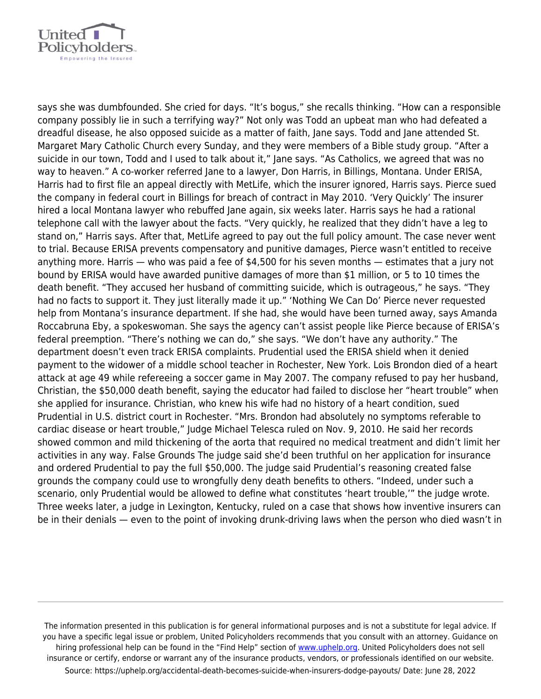

says she was dumbfounded. She cried for days. "It's bogus," she recalls thinking. "How can a responsible company possibly lie in such a terrifying way?" Not only was Todd an upbeat man who had defeated a dreadful disease, he also opposed suicide as a matter of faith, Jane says. Todd and Jane attended St. Margaret Mary Catholic Church every Sunday, and they were members of a Bible study group. "After a suicide in our town, Todd and I used to talk about it," Jane says. "As Catholics, we agreed that was no way to heaven." A co-worker referred Jane to a lawyer, Don Harris, in Billings, Montana. Under ERISA, Harris had to first file an appeal directly with MetLife, which the insurer ignored, Harris says. Pierce sued the company in federal court in Billings for breach of contract in May 2010. 'Very Quickly' The insurer hired a local Montana lawyer who rebuffed Jane again, six weeks later. Harris says he had a rational telephone call with the lawyer about the facts. "Very quickly, he realized that they didn't have a leg to stand on," Harris says. After that, MetLife agreed to pay out the full policy amount. The case never went to trial. Because ERISA prevents compensatory and punitive damages, Pierce wasn't entitled to receive anything more. Harris — who was paid a fee of \$4,500 for his seven months — estimates that a jury not bound by ERISA would have awarded punitive damages of more than \$1 million, or 5 to 10 times the death benefit. "They accused her husband of committing suicide, which is outrageous," he says. "They had no facts to support it. They just literally made it up." 'Nothing We Can Do' Pierce never requested help from Montana's insurance department. If she had, she would have been turned away, says Amanda Roccabruna Eby, a spokeswoman. She says the agency can't assist people like Pierce because of ERISA's federal preemption. "There's nothing we can do," she says. "We don't have any authority." The department doesn't even track ERISA complaints. Prudential used the ERISA shield when it denied payment to the widower of a middle school teacher in Rochester, New York. Lois Brondon died of a heart attack at age 49 while refereeing a soccer game in May 2007. The company refused to pay her husband, Christian, the \$50,000 death benefit, saying the educator had failed to disclose her "heart trouble" when she applied for insurance. Christian, who knew his wife had no history of a heart condition, sued Prudential in U.S. district court in Rochester. "Mrs. Brondon had absolutely no symptoms referable to cardiac disease or heart trouble," Judge Michael Telesca ruled on Nov. 9, 2010. He said her records showed common and mild thickening of the aorta that required no medical treatment and didn't limit her activities in any way. False Grounds The judge said she'd been truthful on her application for insurance and ordered Prudential to pay the full \$50,000. The judge said Prudential's reasoning created false grounds the company could use to wrongfully deny death benefits to others. "Indeed, under such a scenario, only Prudential would be allowed to define what constitutes 'heart trouble,'" the judge wrote. Three weeks later, a judge in Lexington, Kentucky, ruled on a case that shows how inventive insurers can be in their denials — even to the point of invoking drunk-driving laws when the person who died wasn't in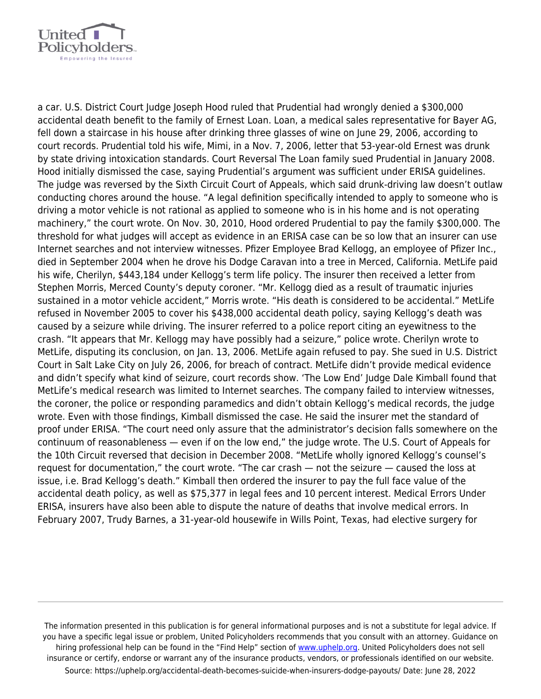

a car. U.S. District Court Judge Joseph Hood ruled that Prudential had wrongly denied a \$300,000 accidental death benefit to the family of Ernest Loan. Loan, a medical sales representative for Bayer AG, fell down a staircase in his house after drinking three glasses of wine on June 29, 2006, according to court records. Prudential told his wife, Mimi, in a Nov. 7, 2006, letter that 53-year-old Ernest was drunk by state driving intoxication standards. Court Reversal The Loan family sued Prudential in January 2008. Hood initially dismissed the case, saying Prudential's argument was sufficient under ERISA guidelines. The judge was reversed by the Sixth Circuit Court of Appeals, which said drunk-driving law doesn't outlaw conducting chores around the house. "A legal definition specifically intended to apply to someone who is driving a motor vehicle is not rational as applied to someone who is in his home and is not operating machinery," the court wrote. On Nov. 30, 2010, Hood ordered Prudential to pay the family \$300,000. The threshold for what judges will accept as evidence in an ERISA case can be so low that an insurer can use Internet searches and not interview witnesses. Pfizer Employee Brad Kellogg, an employee of Pfizer Inc., died in September 2004 when he drove his Dodge Caravan into a tree in Merced, California. MetLife paid his wife, Cherilyn, \$443,184 under Kellogg's term life policy. The insurer then received a letter from Stephen Morris, Merced County's deputy coroner. "Mr. Kellogg died as a result of traumatic injuries sustained in a motor vehicle accident," Morris wrote. "His death is considered to be accidental." MetLife refused in November 2005 to cover his \$438,000 accidental death policy, saying Kellogg's death was caused by a seizure while driving. The insurer referred to a police report citing an eyewitness to the crash. "It appears that Mr. Kellogg may have possibly had a seizure," police wrote. Cherilyn wrote to MetLife, disputing its conclusion, on Jan. 13, 2006. MetLife again refused to pay. She sued in U.S. District Court in Salt Lake City on July 26, 2006, for breach of contract. MetLife didn't provide medical evidence and didn't specify what kind of seizure, court records show. 'The Low End' Judge Dale Kimball found that MetLife's medical research was limited to Internet searches. The company failed to interview witnesses, the coroner, the police or responding paramedics and didn't obtain Kellogg's medical records, the judge wrote. Even with those findings, Kimball dismissed the case. He said the insurer met the standard of proof under ERISA. "The court need only assure that the administrator's decision falls somewhere on the continuum of reasonableness — even if on the low end," the judge wrote. The U.S. Court of Appeals for the 10th Circuit reversed that decision in December 2008. "MetLife wholly ignored Kellogg's counsel's request for documentation," the court wrote. "The car crash — not the seizure — caused the loss at issue, i.e. Brad Kellogg's death." Kimball then ordered the insurer to pay the full face value of the accidental death policy, as well as \$75,377 in legal fees and 10 percent interest. Medical Errors Under ERISA, insurers have also been able to dispute the nature of deaths that involve medical errors. In February 2007, Trudy Barnes, a 31-year-old housewife in Wills Point, Texas, had elective surgery for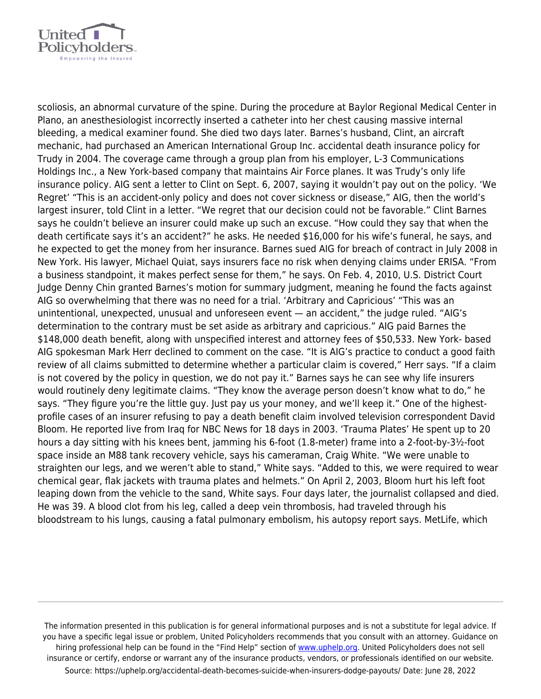

scoliosis, an abnormal curvature of the spine. During the procedure at Baylor Regional Medical Center in Plano, an anesthesiologist incorrectly inserted a catheter into her chest causing massive internal bleeding, a medical examiner found. She died two days later. Barnes's husband, Clint, an aircraft mechanic, had purchased an American International Group Inc. accidental death insurance policy for Trudy in 2004. The coverage came through a group plan from his employer, L-3 Communications Holdings Inc., a New York-based company that maintains Air Force planes. It was Trudy's only life insurance policy. AIG sent a letter to Clint on Sept. 6, 2007, saying it wouldn't pay out on the policy. 'We Regret' "This is an accident-only policy and does not cover sickness or disease," AIG, then the world's largest insurer, told Clint in a letter. "We regret that our decision could not be favorable." Clint Barnes says he couldn't believe an insurer could make up such an excuse. "How could they say that when the death certificate says it's an accident?" he asks. He needed \$16,000 for his wife's funeral, he says, and he expected to get the money from her insurance. Barnes sued AIG for breach of contract in July 2008 in New York. His lawyer, Michael Quiat, says insurers face no risk when denying claims under ERISA. "From a business standpoint, it makes perfect sense for them," he says. On Feb. 4, 2010, U.S. District Court Judge Denny Chin granted Barnes's motion for summary judgment, meaning he found the facts against AIG so overwhelming that there was no need for a trial. 'Arbitrary and Capricious' "This was an unintentional, unexpected, unusual and unforeseen event — an accident," the judge ruled. "AIG's determination to the contrary must be set aside as arbitrary and capricious." AIG paid Barnes the \$148,000 death benefit, along with unspecified interest and attorney fees of \$50,533. New York- based AIG spokesman Mark Herr declined to comment on the case. "It is AIG's practice to conduct a good faith review of all claims submitted to determine whether a particular claim is covered," Herr says. "If a claim is not covered by the policy in question, we do not pay it." Barnes says he can see why life insurers would routinely deny legitimate claims. "They know the average person doesn't know what to do," he says. "They figure you're the little guy. Just pay us your money, and we'll keep it." One of the highestprofile cases of an insurer refusing to pay a death benefit claim involved television correspondent David Bloom. He reported live from Iraq for NBC News for 18 days in 2003. 'Trauma Plates' He spent up to 20 hours a day sitting with his knees bent, jamming his 6-foot (1.8-meter) frame into a 2-foot-by-3½-foot space inside an M88 tank recovery vehicle, says his cameraman, Craig White. "We were unable to straighten our legs, and we weren't able to stand," White says. "Added to this, we were required to wear chemical gear, flak jackets with trauma plates and helmets." On April 2, 2003, Bloom hurt his left foot leaping down from the vehicle to the sand, White says. Four days later, the journalist collapsed and died. He was 39. A blood clot from his leg, called a deep vein thrombosis, had traveled through his bloodstream to his lungs, causing a fatal pulmonary embolism, his autopsy report says. MetLife, which